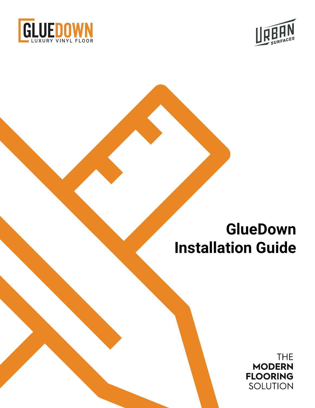



# **GlueDown Installation Guide**

**THE MODERN FLOORING** SOLUTION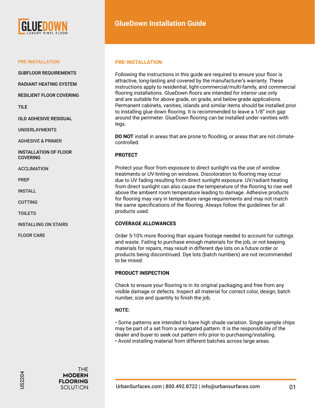

SUBFLOOR REQUIREMENTS

RADIANT HEATING SYSTEM

RESILIENT FLOOR COVERING

TILE

OLD ADHESIVE RESIDUAL

UNDERLAYMENTS

ADHESIVE & PRIMER

INSTALLATION OF FLOOR COVERING

ACCLIMATION

PREP

INSTALL

CUTTING

**TOILETS** 

INSTALLING ON STAIRS

FLOOR CARE

## **PRE-INSTALLATION**

Following the instructions in this guide are required to ensure your floor is attractive, long-lasting and covered by the manufacturer's warranty. These instructions apply to residential, light-commercial/multi-family, and commercial flooring installations. GlueDown floors are intended for interior use only and are suitable for above grade, on grade, and below-grade applications. Permanent cabinets, vanities, islands and similar items should be installed prior to installing glue down flooring. It is recommended to leave a 1/8" inch gap around the perimeter. GlueDown flooring can be installed under vanities with legs.

**DO NOT** install in areas that are prone to flooding, or areas that are not climatecontrolled.

# **PROTECT**

Protect your floor from exposure to direct sunlight via the use of window treatments or UV-tinting on windows. Discoloration to flooring may occur due to UV fading resulting from direct sunlight exposure. UV/radiant heating from direct sunlight can also cause the temperature of the flooring to rise well above the ambient room temperature leading to damage. Adhesive products for flooring may vary in temperature range requirements and may not match the same specifications of the flooring. Always follow the guidelines for all products used.

#### **COVERAGE ALLOWANCES**

Order 5-10% more flooring than square footage needed to account for cuttings and waste. Failing to purchase enough materials for the job, or not keeping materials for repairs, may result in different dye lots on a future order or products being discontinued. Dye lots (batch numbers) are not recommended to be mixed.

# **PRODUCT INSPECTION**

Check to ensure your flooring is in its original packaging and free from any visible damage or defects. Inspect all material for correct color, design, batch number, size and quantity to finish the job.

# **NOTE:**

• Some patterns are intended to have high shade variation. Single sample chips may be part of a set from a variegated pattern. It is the responsibility of the dealer and buyer to seek out pattern info prior to purchasing/installing. • Avoid installing material from different batches across large areas.



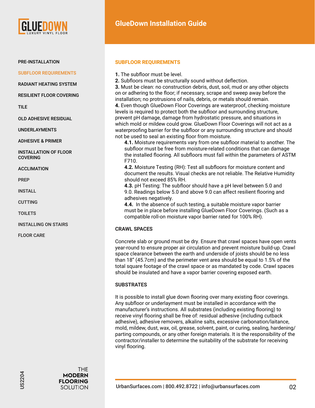

SUBFLOOR REQUIREMENTS

RADIANT HEATING SYSTEM

RESILIENT FLOOR COVERING

TILE

OLD ADHESIVE RESIDUAL

UNDERLAYMENTS

ADHESIVE & PRIMER

INSTALLATION OF FLOOR **COVERING** 

ACCLIMATION

PREP

INSTALL

CUTTING

**TOILETS** 

INSTALLING ON STAIRS

FLOOR CARE

# **GlueDown Installation Guide**

## **SUBFLOOR REQUIREMENTS**

**1.** The subfloor must be level.

**2.** Subfloors must be structurally sound without deflection.

**3.** Must be clean: no construction debris, dust, soil, mud or any other objects on or adhering to the floor; if necessary, scrape and sweep away before the installation; no protrusions of nails, debris, or metals should remain. **4.** Even though GlueDown Floor Coverings are waterproof, checking moisture levels is required to protect both the subfloor and surrounding structure, prevent pH damage, damage from hydrostatic pressure, and situations in which mold or mildew could grow. GlueDown Floor Coverings will not act as a waterproofing barrier for the subfloor or any surrounding structure and should not be used to seal an existing floor from moisture.

**4.1.** Moisture requirements vary from one subfloor material to another. The subfloor must be free from moisture-related conditions that can damage the installed flooring. All subfloors must fall within the parameters of ASTM F710.

**4.2.** Moisture Testing (RH): Test all subfloors for moisture content and document the results. Visual checks are not reliable. The Relative Humidity should not exceed 85% RH.

**4.3.** pH Testing: The subfloor should have a pH level between 5.0 and 9.0. Readings below 5.0 and above 9.0 can affect resilient flooring and adhesives negatively.

**4.4.** In the absence of such testing, a suitable moisture vapor barrier must be in place before installing GlueDown Floor Coverings. (Such as a compatible roll-on moisture vapor barrier rated for 100% RH).

# **CRAWL SPACES**

Concrete slab or ground must be dry. Ensure that crawl spaces have open vents year-round to ensure proper air circulation and prevent moisture build-up. Crawl space clearance between the earth and underside of joists should be no less than 18" (45.7cm) and the perimeter vent area should be equal to 1.5% of the total square footage of the crawl space or as mandated by code. Crawl spaces should be insulated and have a vapor barrier covering exposed earth.

# **SUBSTRATES**

It is possible to install glue down flooring over many existing floor coverings. Any subfloor or underlayment must be installed in accordance with the manufacturer's instructions. All substrates (including existing flooring) to receive vinyl flooring shall be free of: residual adhesive (including cutback adhesive), adhesive removers, alkaline salts, excessive carbonation/laitance, mold, mildew, dust, wax, oil, grease, solvent, paint, or curing, sealing, hardening/ parting compounds, or any other foreign materials. It is the responsibility of the contractor/installer to determine the suitability of the substrate for receiving vinyl flooring.

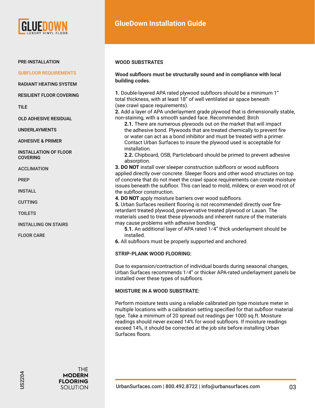

SUBFLOOR REQUIREMENTS

RADIANT HEATING SYSTEM

RESILIENT FLOOR COVERING

TILE

OLD ADHESIVE RESIDUAL

UNDERLAYMENTS

ADHESIVE & PRIMER

INSTALLATION OF FLOOR **COVERING** 

ACCLIMATION

PREP

INSTALL

CUTTING

**TOILETS** 

INSTALLING ON STAIRS

FLOOR CARE

## **WOOD SUBSTRATES**

**Wood subfloors must be structurally sound and in compliance with local building codes.**

**1.** Double-layered APA rated plywood subfloors should be a minimum 1" total thickness, with at least 18" of well ventilated air space beneath (see crawl space requirements).

**2.** Add a layer of APA underlayment grade plywood that is dimensionally stable, non-staining, with a smooth sanded face. Recommended: Birch

**2.1.** There are numerous plywoods out on the market that will impact the adhesive bond. Plywoods that are treated chemically to prevent fire or water can act as a bond inhibitor and must be treated with a primer. Contact Urban Surfaces to insure the plywood used is acceptable for installation.

**2.2.** Chipboard, OSB, Particleboard should be primed to prevent adhesive absorption.

**3. DO NOT** install over sleeper construction subfloors or wood subfloors applied directly over concrete. Sleeper floors and other wood structures on top of concrete that do not meet the crawl space requirements can create moisture issues beneath the subfloor. This can lead to mold, mildew, or even wood rot of the subfloor construction.

**4. DO NOT** apply moisture barriers over wood subfloors.

**5.** Urban Surfaces resilient flooring is not recommended directly over fireretardant treated plywood, presvervative treated plywood or Lauan. The materials used to treat these plywoods and inherent nature of the materials may cause problems with adhesive bonding.

**5.1.** An additional layer of APA rated 1⁄4" thick underlayment should be installed.

**6.** All subfloors must be properly supported and anchored.

#### **STRIP-PLANK WOOD FLOORING:**

Due to expansion/contraction of individual boards during seasonal changes, Urban Surfaces recommends 1⁄4" or thicker APA-rated underlayment panels be installed over these types of subfloors.

#### **MOISTURE IN A WOOD SUBSTRATE:**

Perform moisture tests using a reliable calibrated pin type moisture meter in multiple locations with a calibration setting specified for that subfloor material type. Take a minimum of 20 spread out readings per 1000 sq.ft. Moisture readings should never exceed 14% for wood subfloors. If moisture readings exceed 14%, it should be corrected at the job site before installing Urban Surfaces floors.

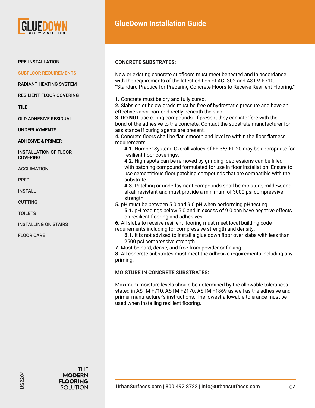

SUBFLOOR REQUIREMENTS

RADIANT HEATING SYSTEM

RESILIENT FLOOR COVERING

TILE

OLD ADHESIVE RESIDUAL

UNDERLAYMENTS

ADHESIVE & PRIMER

INSTALLATION OF FLOOR **COVERING** 

ACCLIMATION

PREP

INSTALL

CUTTING

**TOILETS** 

INSTALLING ON STAIRS

FLOOR CARE

## **CONCRETE SUBSTRATES:**

New or existing concrete subfloors must meet be tested and in accordance with the requirements of the latest edition of ACI 302 and ASTM F710, "Standard Practice for Preparing Concrete Floors to Receive Resilient Flooring."

**1.** Concrete must be dry and fully cured.

**2.** Slabs on or below grade must be free of hydrostatic pressure and have an effective vapor barrier directly beneath the slab.

**3. DO NOT** use curing compounds. If present they can interfere with the bond of the adhesive to the concrete. Contact the substrate manufacturer for assistance if curing agents are present.

**4.** Concrete floors shall be flat, smooth and level to within the floor flatness requirements.

**4.1.** Number System: Overall values of FF 36/ FL 20 may be appropriate for resilient floor coverings.

**4.2.** High spots can be removed by grinding; depressions can be filled with patching compound formulated for use in floor installation. Ensure to use cementitious floor patching compounds that are compatible with the substrate

**4.3.** Patching or underlayment compounds shall be moisture, mildew, and alkali-resistant and must provide a minimum of 3000 psi compressive strength.

**5.** pH must be between 5.0 and 9.0 pH when performing pH testing. **5.1.** pH readings below 5.0 and in excess of 9.0 can have negative effects on resilient flooring and adhesives.

**6.** All slabs to receive resilient flooring must meet local building code requirements including for compressive strength and density.

- **6.1.** It is not advised to install a glue down floor over slabs with less than 2500 psi compressive strength.
- **7.** Must be hard, dense, and free from powder or flaking.

**8.** All concrete substrates must meet the adhesive requirements including any priming.

# **MOISTURE IN CONCRETE SUBSTRATES:**

Maximum moisture levels should be determined by the allowable tolerances stated in ASTM F710, ASTM F2170, ASTM F1869 as well as the adhesive and primer manufacturer's instructions. The lowest allowable tolerance must be used when installing resilient flooring.

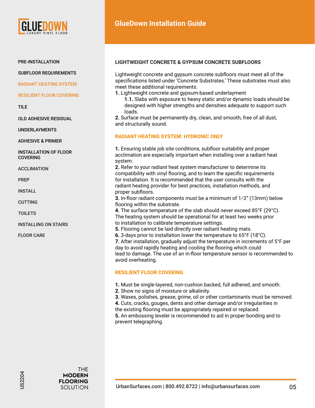

SUBFLOOR REQUIREMENTS

RADIANT HEATING SYSTEM

RESILIENT FLOOR COVERING

TILE

OLD ADHESIVE RESIDUAL

UNDERLAYMENTS

ADHESIVE & PRIMER

INSTALLATION OF FLOOR **COVERING** 

ACCLIMATION

PREP

INSTALL

CUTTING

**TOILETS** 

INSTALLING ON STAIRS

FLOOR CARE

# **GlueDown Installation Guide**

## **LIGHTWEIGHT CONCRETE & GYPSUM CONCRETE SUBFLOORS**

Lightweight concrete and gypsum concrete subfloors must meet all of the specifications listed under 'Concrete Substrates.' These substrates must also meet these additional requirements:

**1.** Lightweight concrete and gypsum-based underlayment

**1.1.** Slabs with exposure to heavy static and/or dynamic loads should be designed with higher strengths and densities adequate to support such loads.

**2.** Surface must be permanently dry, clean, and smooth, free of all dust, and structurally sound.

## **RADIANT HEATING SYSTEM: HYDRONIC ONLY**

**1.** Ensuring stable job site conditions, subfloor suitability and proper acclimation are especially important when installing over a radiant heat system.

**2.** Refer to your radiant heat system manufacturer to determine its compatibility with vinyl flooring, and to learn the specific requirements for installation. It is recommended that the user consults with the radiant heating provider for best practices, installation methods, and proper subfloors.

**3.** In-floor radiant components must be a minimum of 1⁄2" (13mm) below flooring within the substrate.

**4.** The surface temperature of the slab should never exceed 85°F (29°C). The heating system should be operational for at least two weeks prior to installation to calibrate temperature settings.

**5.** Flooring cannot be laid directly over radiant heating mats.

**6.** 3-days prior to installation lower the temperature to 65°F (18°C).

**7.** After installation, gradually adjust the temperature in increments of 5°F per day to avoid rapidly heating and cooling the flooring which could lead to damage. The use of an in-floor temperature sensor is recommended to avoid overheating.

#### **RESILIENT FLOOR COVERING**

**1.** Must be single-layered, non-cushion backed, full adhered, and smooth.

- **2.** Show no signs of moisture or alkalinity.
- **3.** Waxes, polishes, grease, grime, oil or other contaminants must be removed.
- **4.** Cuts, cracks, gouges, dents and other damage and/or irregularities in
- the existing flooring must be appropriately repaired or replaced.

**5.** An embossing leveler is recommended to aid in proper bonding and to prevent telegraphing.

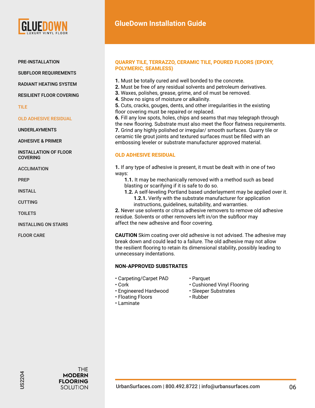

SUBFLOOR REQUIREMENTS

RADIANT HEATING SYSTEM

RESILIENT FLOOR COVERING

#### TILE

OLD ADHESIVE RESIDUAL

UNDERLAYMENTS

ADHESIVE & PRIMER

INSTALLATION OF FLOOR **COVERING** 

ACCLIMATION

PREP

INSTALL

CUTTING

**TOILETS** 

INSTALLING ON STAIRS

FLOOR CARE

# **QUARRY TILE, TERRAZZO, CERAMIC TILE, POURED FLOORS (EPOXY, POLYMERIC, SEAMLESS)**

- **1.** Must be totally cured and well bonded to the concrete.
- **2.** Must be free of any residual solvents and petroleum derivatives.
- **3.** Waxes, polishes, grease, grime, and oil must be removed.
- **4.** Show no signs of moisture or alkalinity.

**5.** Cuts, cracks, gouges, dents, and other irregularities in the existing floor covering must be repaired or replaced.

**6.** Fill any low spots, holes, chips and seams that may telegraph through the new flooring. Substrate must also meet the floor flatness requirements. **7.** Grind any highly polished or irregular/ smooth surfaces. Quarry tile or ceramic tile grout joints and textured surfaces must be filled with an embossing leveler or substrate manufacturer approved material.

# **OLD ADHESIVE RESIDUAL**

**1.** If any type of adhesive is present, it must be dealt with in one of two ways:

- **1.1.** It may be mechanically removed with a method such as bead blasting or scarifying if it is safe to do so.
- **1.2.** A self-leveling Portland based underlayment may be applied over it.
	- **1.2.1.** Verify with the substrate manufacturer for application instructions, guidelines, suitability, and warranties.

**2.** Never use solvents or citrus adhesive removers to remove old adhesive residue. Solvents or other removers left in/on the subfloor may affect the new adhesive and floor covering.

**CAUTION** Skim coating over old adhesive is not advised. The adhesive may break down and could lead to a failure. The old adhesive may not allow the resilient flooring to retain its dimensional stability, possibly leading to unnecessary indentations.

# **NON-APPROVED SUBSTRATES**

- Carpeting/Carpet PAD Parquet
- 
- 
- Engineered Hardwood Sleeper Substrates
- Floating Floors Rubber
- Laminate
- 
- Cork Cushioned Vinyl Flooring
	-
	-

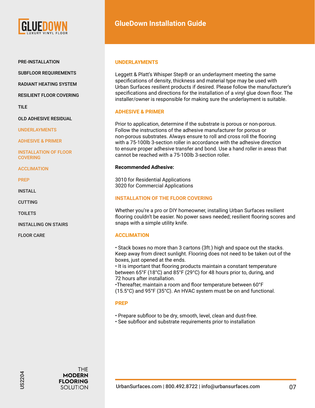

SUBFLOOR REQUIREMENTS

RADIANT HEATING SYSTEM

RESILIENT FLOOR COVERING

TILE

OLD ADHESIVE RESIDUAL

UNDERLAYMENTS

ADHESIVE & PRIMER

INSTALLATION OF FLOOR **COVERING** 

ACCLIMATION

PREP

INSTALL

CUTTING

**TOILETS** 

INSTALLING ON STAIRS

FLOOR CARE

# **GlueDown Installation Guide**

# **UNDERLAYMENTS**

Leggett & Platt's Whisper Step® or an underlayment meeting the same specifications of density, thickness and material type may be used with Urban Surfaces resilient products if desired. Please follow the manufacturer's specifications and directions for the installation of a vinyl glue down floor. The installer/owner is responsible for making sure the underlayment is suitable.

# **ADHESIVE & PRIMER**

Prior to application, determine if the substrate is porous or non-porous. Follow the instructions of the adhesive manufacturer for porous or non-porous substrates. Always ensure to roll and cross roll the flooring with a 75-100lb 3-section roller in accordance with the adhesive direction to ensure proper adhesive transfer and bond. Use a hand roller in areas that cannot be reached with a 75-100lb 3-section roller.

# **Recommended Adhesive:**

3010 for Residential Applications 3020 for Commercial Applications

# **INSTALLATION OF THE FLOOR COVERING**

Whether you're a pro or DIY homeowner, installing Urban Surfaces resilient flooring couldn't be easier. No power saws needed; resilient flooring scores and snaps with a simple utility knife.

# **ACCLIMATION**

• Stack boxes no more than 3 cartons (3ft.) high and space out the stacks. Keep away from direct sunlight. Flooring does not need to be taken out of the boxes, just opened at the ends.

• It is important that flooring products maintain a constant temperature between 65°F (18°C) and 85°F (29°C) for 48 hours prior to, during, and 72 hours after installation.

•Thereafter, maintain a room and floor temperature between 60°F (15.5°C) and 95°F (35°C). An HVAC system must be on and functional.

# **PREP**

- Prepare subfloor to be dry, smooth, level, clean and dust-free.
- See subfloor and substrate requirements prior to installation

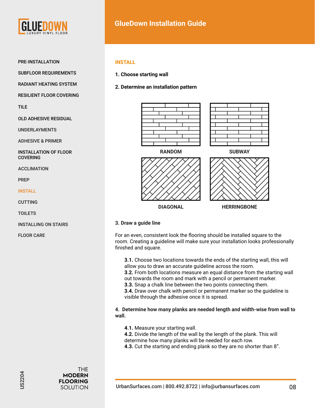

# **GlueDown Installation Guide**

#### PRE-INSTALLATION

SUBFLOOR REQUIREMENTS

RADIANT HEATING SYSTEM

RESILIENT FLOOR COVERING

TILE

OLD ADHESIVE RESIDUAL

UNDERLAYMENTS

ADHESIVE & PRIMER

INSTALLATION OF FLOOR **COVERING** 

ACCLIMATION

PREP

**INSTALL** 

CUTTING

**TOILETS** 

INSTALLING ON STAIRS

FLOOR CARE

# **INSTALL**

- **1. Choose starting wall**
- **2. Determine an installation pattern**



**DIAGONAL**







**HERRINGBONE**

#### **3. Draw a guide line**

For an even, consistent look the flooring should be installed square to the room. Creating a guideline will make sure your installation looks professionally finished and square.

**3.1.** Choose two locations towards the ends of the starting wall, this will allow you to draw an accurate guideline across the room. **3.2.** From both locations measure an equal distance from the starting wall out towards the room and mark with a pencil or permanent marker. **3.3.** Snap a chalk line between the two points connecting them. **3.4.** Draw over chalk with pencil or permanent marker so the guideline is visible through the adhesive once it is spread.

**4. Determine how many planks are needed length and width-wise from wall to wall.**

**4.1.** Measure your starting wall.

**4.2.** Divide the length of the wall by the length of the plank. This will determine how many planks will be needed for each row.

**4.3.** Cut the starting and ending plank so they are no shorter than 8".

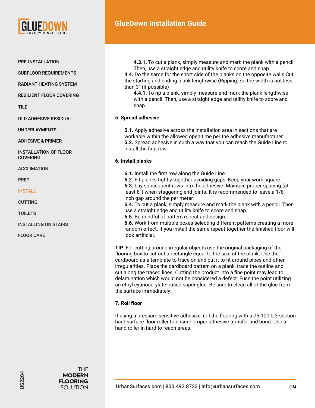

SUBFLOOR REQUIREMENTS

RADIANT HEATING SYSTEM

RESILIENT FLOOR COVERING

TILE

OLD ADHESIVE RESIDUAL

UNDERLAYMENTS

ADHESIVE & PRIMER

INSTALLATION OF FLOOR **COVERING** 

ACCLIMATION

PREP

#### INSTALL

CUTTING

**TOILETS** 

INSTALLING ON STAIRS

FLOOR CARE

# **GlueDown Installation Guide**

**4.3.1.** To cut a plank, simply measure and mark the plank with a pencil. Then, use a straight edge and utility knife to score and snap.

**4.4.** Do the same for the short side of the planks on the opposite walls Cut the starting and ending plank lengthwise (Ripping) so the width is not less than 3" (if possible)

**4.4.1.** To rip a plank, simply measure and mark the plank lengthwise with a pencil. Then, use a straight edge and utility knife to score and snap.

# **5. Spread adhesive**

**5.1.** Apply adhesive across the installation area in sections that are workable within the allowed open time per the adhesive manufacturer. **5.2.** Spread adhesive in such a way that you can reach the Guide Line to install the first row.

# **6. Install planks**

**6.1.** Install the first row along the Guide Line.

**6.2.** Fit planks tightly together avoiding gaps. Keep your work square. **6.3.** Lay subsequent rows into the adhesive. Maintain proper spacing (at least 8") when staggering end joints. It is recommended to leave a 1/8" inch gap around the perimeter.

**6.4.** To cut a plank, simply measure and mark the plank with a pencil. Then, use a straight edge and utility knife to score and snap.

**6.5.** Be mindful of pattern repeat and design.

**6.6.** Work from multiple boxes selecting different patterns creating a more random effect. If you install the same repeat together the finished floor will look artificial.

**TIP**: For cutting around irregular objects use the original packaging of the flooring box to cut out a rectangle equal to the size of the plank. Use the cardboard as a template to trace on and cut it to fit around pipes and other irregularities. Place the cardboard pattern on a plank, trace the outline and cut along the traced lines. Cutting the product into a fine point may lead to delamination which would not be considered a defect. Fuse the point utilizing an ethyl cyanoacrylate-based super glue. Be sure to clean all of the glue from the surface immediately.

# **7. Roll floor**

If using a pressure sensitive adhesive, roll the flooring with a 75-100lb 3-section hard surface floor roller to ensure proper adhesive transfer and bond. Use a hand roller in hard to reach areas.